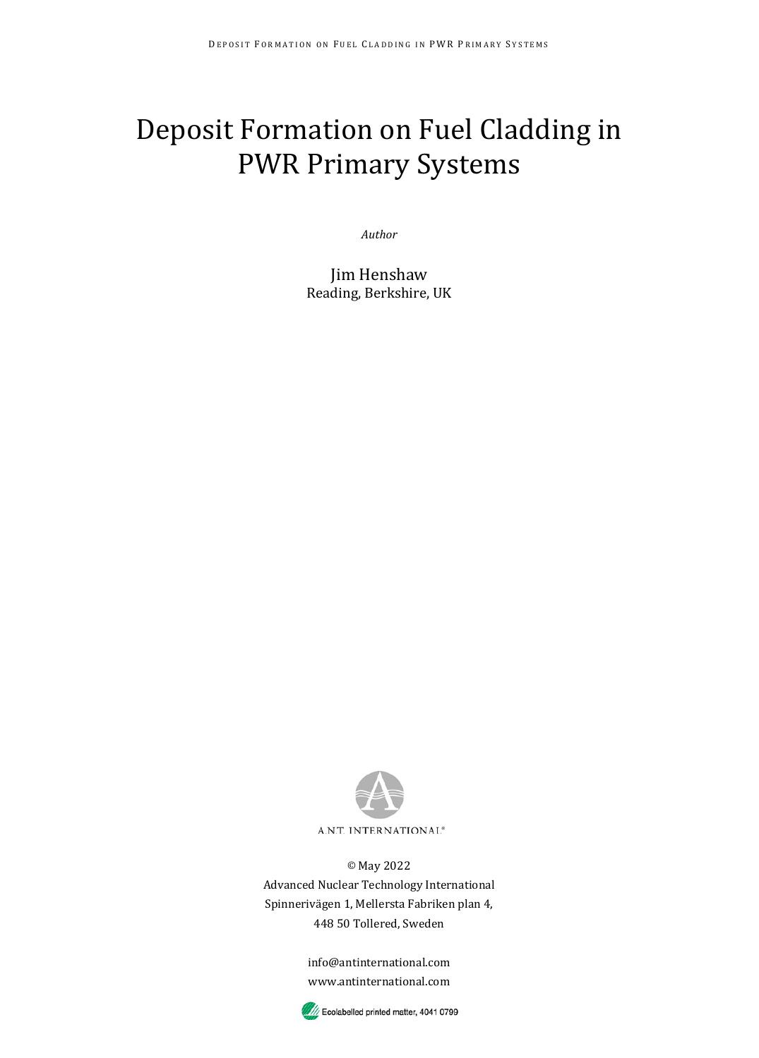# Deposit Formation on Fuel Cladding in PWR Primary Systems

*Author*

Jim Henshaw Reading, Berkshire, UK



© May 2022 Advanced Nuclear Technology International Spinnerivägen 1, Mellersta Fabriken plan 4, 448 50 Tollered, Sweden

> info@antinternational.com www.antinternational.com

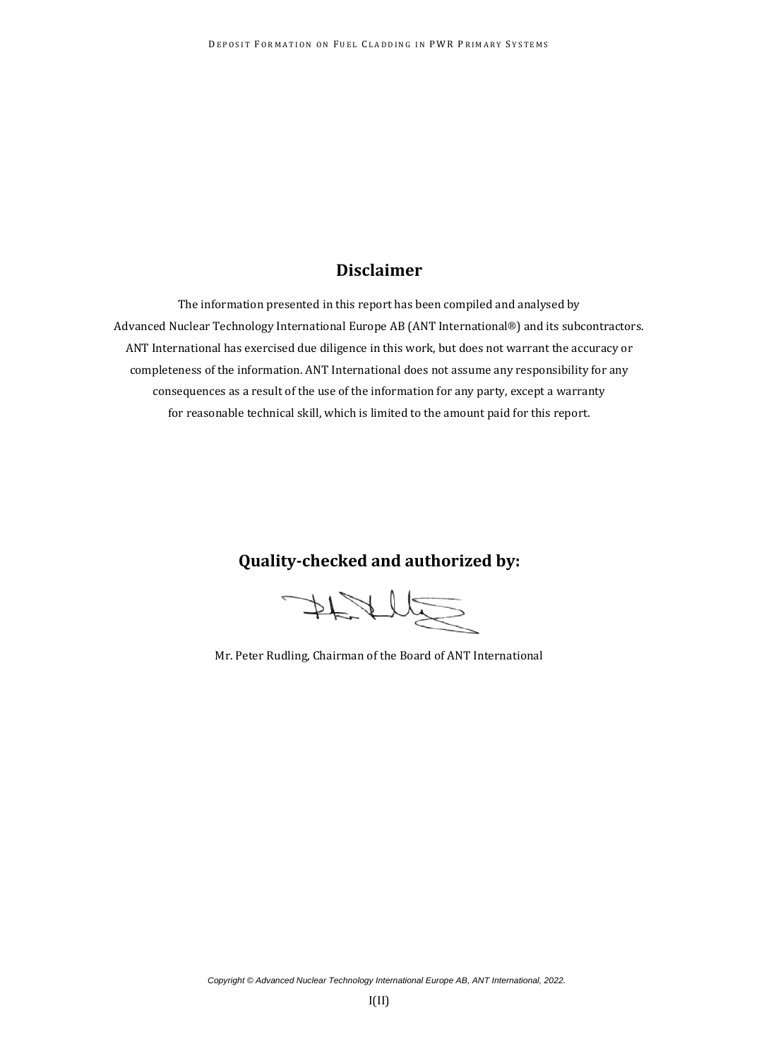#### **Disclaimer**

The information presented in this report has been compiled and analysed by Advanced Nuclear Technology International Europe AB (ANT International®) and its subcontractors. ANT International has exercised due diligence in this work, but does not warrant the accuracy or completeness of the information. ANT International does not assume any responsibility for any consequences as a result of the use of the information for any party, except a warranty for reasonable technical skill, which is limited to the amount paid for this report.

#### **Quality-checked and authorized by:**

FRAMS

Mr. Peter Rudling, Chairman of the Board of ANT International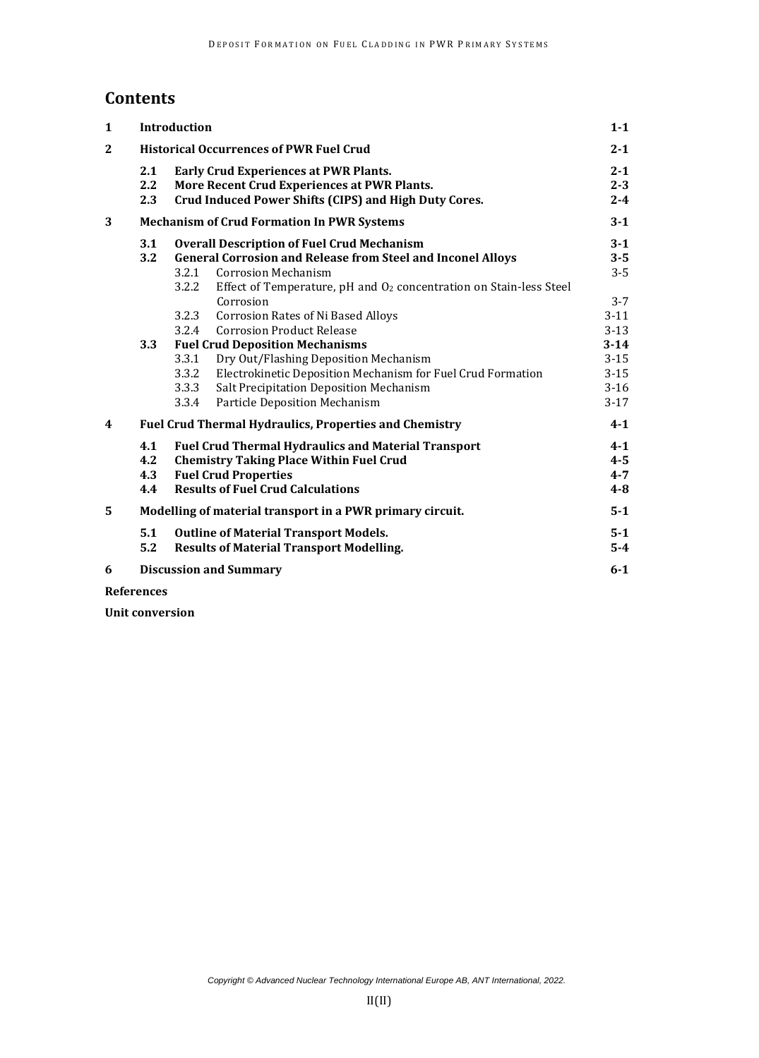#### **Contents**

| 1                       |                                                | <b>Introduction</b>                                                                                                                                                                                                                                                                                                                                                                                                                                                                                                                                                                                                                                |                                                                                                                    |  |  |  |
|-------------------------|------------------------------------------------|----------------------------------------------------------------------------------------------------------------------------------------------------------------------------------------------------------------------------------------------------------------------------------------------------------------------------------------------------------------------------------------------------------------------------------------------------------------------------------------------------------------------------------------------------------------------------------------------------------------------------------------------------|--------------------------------------------------------------------------------------------------------------------|--|--|--|
| $\overline{\mathbf{2}}$ | <b>Historical Occurrences of PWR Fuel Crud</b> |                                                                                                                                                                                                                                                                                                                                                                                                                                                                                                                                                                                                                                                    |                                                                                                                    |  |  |  |
|                         | 2.1<br>2.2<br>2.3                              | Early Crud Experiences at PWR Plants.<br>More Recent Crud Experiences at PWR Plants.<br>Crud Induced Power Shifts (CIPS) and High Duty Cores.                                                                                                                                                                                                                                                                                                                                                                                                                                                                                                      |                                                                                                                    |  |  |  |
| 3                       |                                                | <b>Mechanism of Crud Formation In PWR Systems</b>                                                                                                                                                                                                                                                                                                                                                                                                                                                                                                                                                                                                  | $3-1$                                                                                                              |  |  |  |
|                         | 3.1<br>$3.2\phantom{0}$<br>3.3                 | <b>Overall Description of Fuel Crud Mechanism</b><br><b>General Corrosion and Release from Steel and Inconel Alloys</b><br><b>Corrosion Mechanism</b><br>3.2.1<br>Effect of Temperature, pH and O <sub>2</sub> concentration on Stain-less Steel<br>3.2.2<br>Corrosion<br><b>Corrosion Rates of Ni Based Alloys</b><br>3.2.3<br><b>Corrosion Product Release</b><br>3.2.4<br><b>Fuel Crud Deposition Mechanisms</b><br>3.3.1<br>Dry Out/Flashing Deposition Mechanism<br>Electrokinetic Deposition Mechanism for Fuel Crud Formation<br>3.3.2<br>Salt Precipitation Deposition Mechanism<br>3.3.3<br><b>Particle Deposition Mechanism</b><br>3.3.4 | $3-1$<br>$3 - 5$<br>$3 - 5$<br>$3 - 7$<br>$3-11$<br>$3 - 13$<br>$3-14$<br>$3 - 15$<br>$3 - 15$<br>$3-16$<br>$3-17$ |  |  |  |
| 4                       |                                                | <b>Fuel Crud Thermal Hydraulics, Properties and Chemistry</b>                                                                                                                                                                                                                                                                                                                                                                                                                                                                                                                                                                                      | $4 - 1$                                                                                                            |  |  |  |
|                         | 4.1<br>4.2<br>4.3<br>4.4                       | <b>Fuel Crud Thermal Hydraulics and Material Transport</b><br><b>Chemistry Taking Place Within Fuel Crud</b><br><b>Fuel Crud Properties</b><br><b>Results of Fuel Crud Calculations</b>                                                                                                                                                                                                                                                                                                                                                                                                                                                            | $4 - 1$<br>$4 - 5$<br>$4 - 7$<br>$4 - 8$                                                                           |  |  |  |
| 5                       |                                                | Modelling of material transport in a PWR primary circuit.                                                                                                                                                                                                                                                                                                                                                                                                                                                                                                                                                                                          | $5 - 1$                                                                                                            |  |  |  |
|                         | 5.1<br>5.2                                     | <b>Outline of Material Transport Models.</b><br><b>Results of Material Transport Modelling.</b>                                                                                                                                                                                                                                                                                                                                                                                                                                                                                                                                                    | $5-1$<br>$5-4$                                                                                                     |  |  |  |
| 6                       |                                                | <b>Discussion and Summary</b>                                                                                                                                                                                                                                                                                                                                                                                                                                                                                                                                                                                                                      | $6 - 1$                                                                                                            |  |  |  |

**References**

**Unit conversion**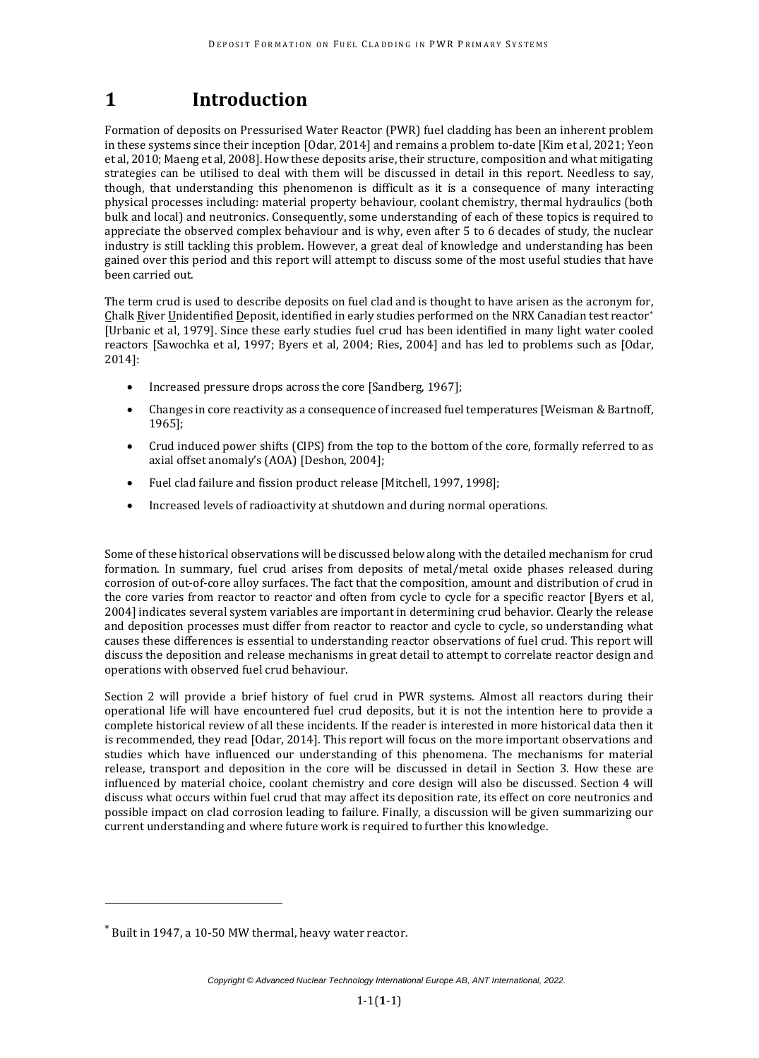### **1 Introduction**

Formation of deposits on Pressurised Water Reactor (PWR) fuel cladding has been an inherent problem in these systems since their inception [Odar, 2014] and remains a problem to-date [Kim et al, 2021; Yeon et al, 2010; Maeng et al, 2008]. How these deposits arise, their structure, composition and what mitigating strategies can be utilised to deal with them will be discussed in detail in this report. Needless to say, though, that understanding this phenomenon is difficult as it is a consequence of many interacting physical processes including: material property behaviour, coolant chemistry, thermal hydraulics (both bulk and local) and neutronics. Consequently, some understanding of each of these topics is required to appreciate the observed complex behaviour and is why, even after 5 to 6 decades of study, the nuclear industry is still tackling this problem. However, a great deal of knowledge and understanding has been gained over this period and this report will attempt to discuss some of the most useful studies that have been carried out.

The term crud is used to describe deposits on fuel clad and is thought to have arisen as the acronym for, Chalk River Unidentified Deposit, identified in early studies performed on the NRX Canadian test reactor\* [Urbanic et al, 1979]. Since these early studies fuel crud has been identified in many light water cooled reactors [Sawochka et al, 1997; Byers et al, 2004; Ries, 2004] and has led to problems such as [Odar, 2014]:

- Increased pressure drops across the core [Sandberg, 1967];
- Changes in core reactivity as a consequence of increased fuel temperatures [Weisman & Bartnoff, 1965];
- Crud induced power shifts (CIPS) from the top to the bottom of the core, formally referred to as axial offset anomaly's (AOA) [Deshon, 2004];
- Fuel clad failure and fission product release [Mitchell, 1997, 1998];
- Increased levels of radioactivity at shutdown and during normal operations.

Some of these historical observations will be discussed below along with the detailed mechanism for crud formation. In summary, fuel crud arises from deposits of metal/metal oxide phases released during corrosion of out-of-core alloy surfaces. The fact that the composition, amount and distribution of crud in the core varies from reactor to reactor and often from cycle to cycle for a specific reactor [Byers et al, 2004] indicates several system variables are important in determining crud behavior. Clearly the release and deposition processes must differ from reactor to reactor and cycle to cycle, so understanding what causes these differences is essential to understanding reactor observations of fuel crud. This report will discuss the deposition and release mechanisms in great detail to attempt to correlate reactor design and operations with observed fuel crud behaviour.

Section 2 will provide a brief history of fuel crud in PWR systems. Almost all reactors during their operational life will have encountered fuel crud deposits, but it is not the intention here to provide a complete historical review of all these incidents. If the reader is interested in more historical data then it is recommended, they read [Odar, 2014]. This report will focus on the more important observations and studies which have influenced our understanding of this phenomena. The mechanisms for material release, transport and deposition in the core will be discussed in detail in Section 3. How these are influenced by material choice, coolant chemistry and core design will also be discussed. Section 4 will discuss what occurs within fuel crud that may affect its deposition rate, its effect on core neutronics and possible impact on clad corrosion leading to failure. Finally, a discussion will be given summarizing our current understanding and where future work is required to further this knowledge.

<sup>\*</sup> Built in 1947, a 10-50 MW thermal, heavy water reactor.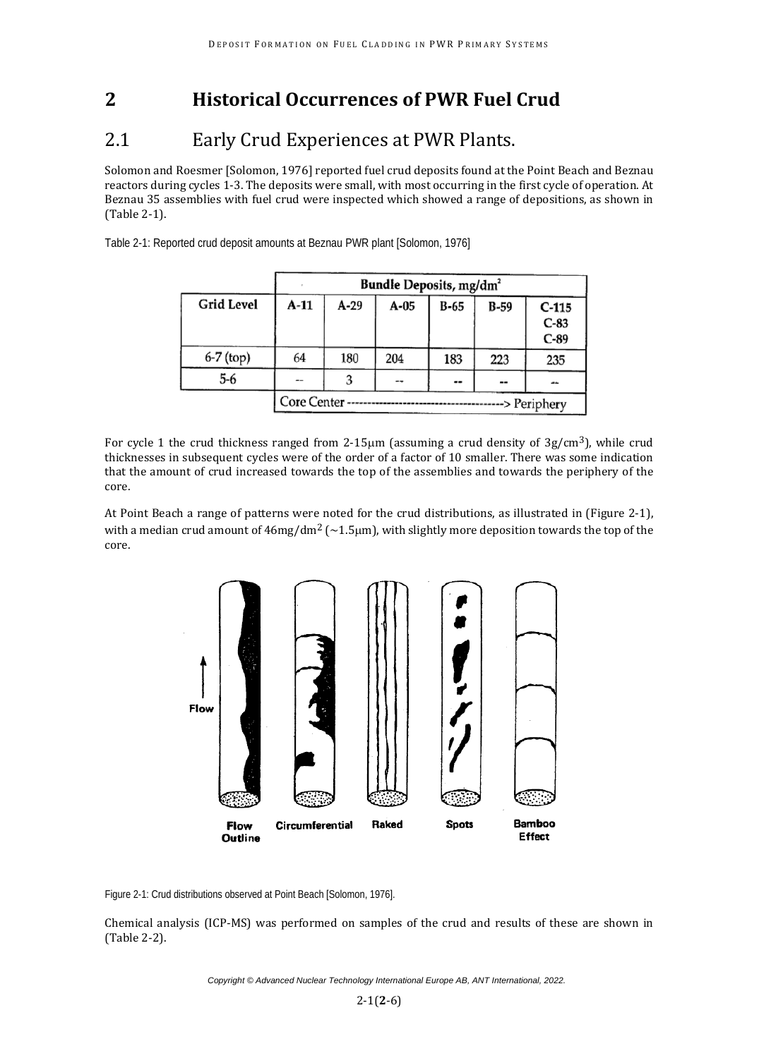## **2 Historical Occurrences of PWR Fuel Crud**

#### 2.1 Early Crud Experiences at PWR Plants.

Solomon and Roesmer [Solomon, 1976] reported fuel crud deposits found at the Point Beach and Beznau reactors during cycles 1-3. The deposits were small, with most occurring in the first cycle of operation. At Beznau 35 assemblies with fuel crud were inspected which showed a range of depositions, as shown in (Table 2-1).

> Bundle Deposits, mg/dm<sup>2</sup> **Grid Level**  $A-11$  $A-29$  $A-05$  $B-65$  $B-59$  $C-115$  $C-83$  $C-89$ 6-7 (top) 64 180 204 183 223 235  $5-6$ 3  $\overline{a}$ Ξ. -Core Center ----> Periphery

Table 2-1: Reported crud deposit amounts at Beznau PWR plant [Solomon, 1976]

For cycle 1 the crud thickness ranged from 2-15µm (assuming a crud density of 3g/cm3), while crud thicknesses in subsequent cycles were of the order of a factor of 10 smaller. There was some indication that the amount of crud increased towards the top of the assemblies and towards the periphery of the core.

At Point Beach a range of patterns were noted for the crud distributions, as illustrated in (Figure 2-1), with a median crud amount of  $46mg/dm^2$  ( $\sim$ 1.5 $\mu$ m), with slightly more deposition towards the top of the core.



Figure 2-1: Crud distributions observed at Point Beach [Solomon, 1976].

Chemical analysis (ICP-MS) was performed on samples of the crud and results of these are shown in (Table 2-2).

*Copyright © Advanced Nuclear Technology International Europe AB, ANT International, 2022.*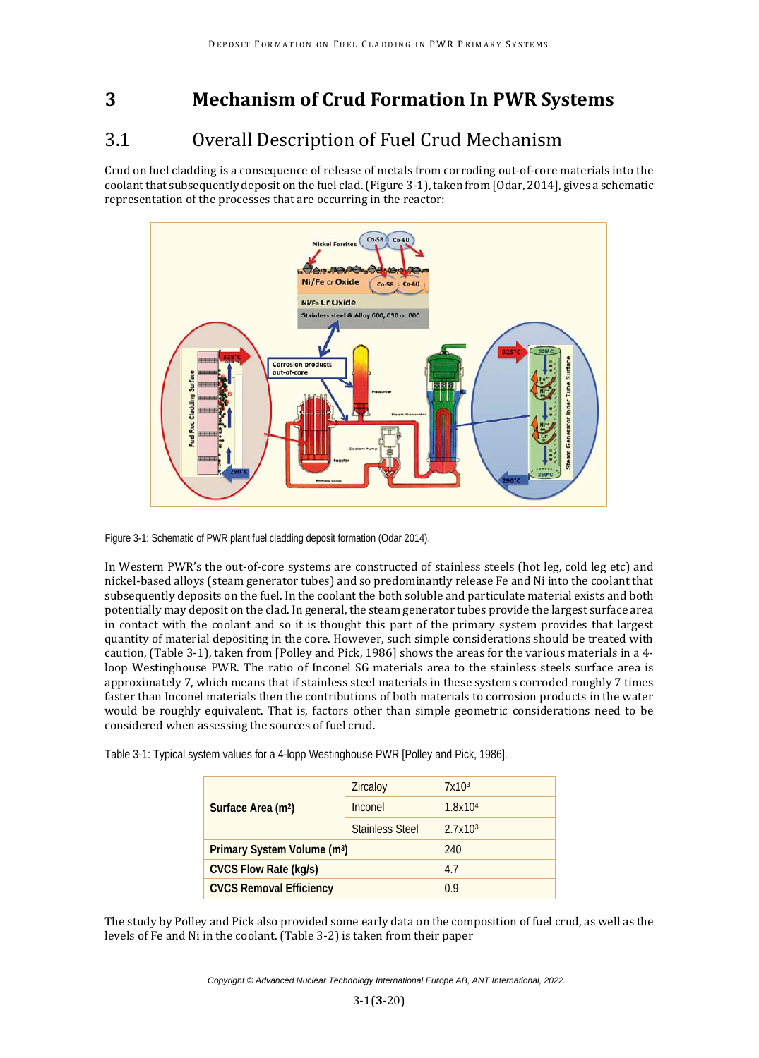# **3 Mechanism of Crud Formation In PWR Systems**

# 3.1 Overall Description of Fuel Crud Mechanism

Crud on fuel cladding is a consequence of release of metals from corroding out-of-core materials into the coolant that subsequently deposit on the fuel clad. (Figure 3-1), taken from [Odar, 2014], gives a schematic representation of the processes that are occurring in the reactor:



Figure 3-1: Schematic of PWR plant fuel cladding deposit formation (Odar 2014).

In Western PWR's the out-of-core systems are constructed of stainless steels (hot leg, cold leg etc) and nickel-based alloys (steam generator tubes) and so predominantly release Fe and Ni into the coolant that subsequently deposits on the fuel. In the coolant the both soluble and particulate material exists and both potentially may deposit on the clad. In general, the steam generator tubes provide the largest surface area in contact with the coolant and so it is thought this part of the primary system provides that largest quantity of material depositing in the core. However, such simple considerations should be treated with caution, (Table 3-1), taken from [Polley and Pick, 1986] shows the areas for the various materials in a 4 loop Westinghouse PWR. The ratio of Inconel SG materials area to the stainless steels surface area is approximately 7, which means that if stainless steel materials in these systems corroded roughly 7 times faster than Inconel materials then the contributions of both materials to corrosion products in the water would be roughly equivalent. That is, factors other than simple geometric considerations need to be considered when assessing the sources of fuel crud.

Table 3-1: Typical system values for a 4-lopp Westinghouse PWR [Polley and Pick, 1986].

|                                         | Zircaloy               | 7x10 <sup>3</sup>   |
|-----------------------------------------|------------------------|---------------------|
| Surface Area (m <sup>2</sup> )          | Inconel                | 1.8x104             |
|                                         | <b>Stainless Steel</b> | 2.7x10 <sup>3</sup> |
| Primary System Volume (m <sup>3</sup> ) | 240                    |                     |
| <b>CVCS Flow Rate (kg/s)</b>            | 4.7                    |                     |
| <b>CVCS Removal Efficiency</b>          | 0 Q                    |                     |

The study by Polley and Pick also provided some early data on the composition of fuel crud, as well as the levels of Fe and Ni in the coolant. (Table 3-2) is taken from their paper

*Copyright © Advanced Nuclear Technology International Europe AB, ANT International, 2022.*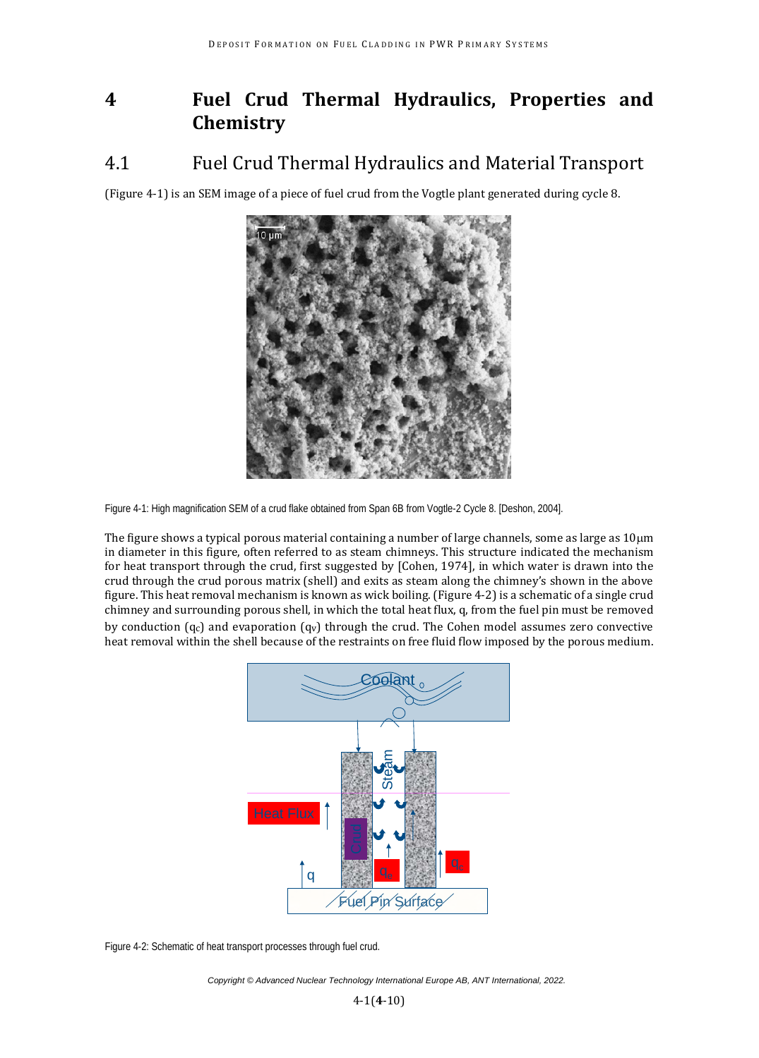# **4 Fuel Crud Thermal Hydraulics, Properties and Chemistry**

## 4.1 Fuel Crud Thermal Hydraulics and Material Transport

(Figure 4-1) is an SEM image of a piece of fuel crud from the Vogtle plant generated during cycle 8.



Figure 4-1: High magnification SEM of a crud flake obtained from Span 6B from Vogtle-2 Cycle 8. [Deshon, 2004].

The figure shows a typical porous material containing a number of large channels, some as large as  $10\mu$ m in diameter in this figure, often referred to as steam chimneys. This structure indicated the mechanism for heat transport through the crud, first suggested by [Cohen, 1974], in which water is drawn into the crud through the crud porous matrix (shell) and exits as steam along the chimney's shown in the above figure. This heat removal mechanism is known as wick boiling. (Figure 4-2) is a schematic of a single crud chimney and surrounding porous shell, in which the total heat flux, q, from the fuel pin must be removed by conduction  $(q_c)$  and evaporation  $(q_v)$  through the crud. The Cohen model assumes zero convective heat removal within the shell because of the restraints on free fluid flow imposed by the porous medium.



Figure 4-2: Schematic of heat transport processes through fuel crud.

*Copyright © Advanced Nuclear Technology International Europe AB, ANT International, 2022.*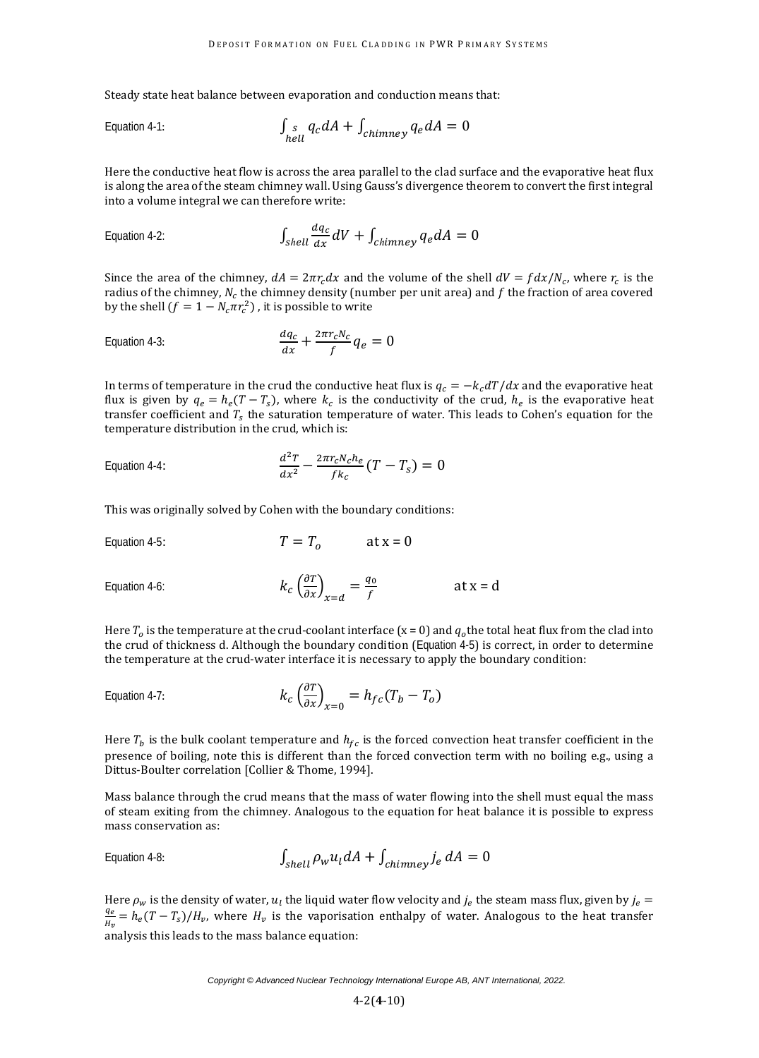Steady state heat balance between evaporation and conduction means that:

Equation 4-1: 
$$
\int_{hell}^{S} q_c dA + \int_{chimney} q_e dA = 0
$$

Here the conductive heat flow is across the area parallel to the clad surface and the evaporative heat flux is along the area of the steam chimney wall. Using Gauss's divergence theorem to convert the first integral into a volume integral we can therefore write:

Equation 4-2: 
$$
\int_{shell} \frac{dq_c}{dx} dV + \int_{chimney} q_e dA = 0
$$

Since the area of the chimney,  $dA = 2\pi r_c dx$  and the volume of the shell  $dV = f dx/N_c$ , where  $r_c$  is the radius of the chimney,  $N_c$  the chimney density (number per unit area) and f the fraction of area covered by the shell  $(f = 1 - N_c \pi r_c^2)$  , it is possible to write

Equation 4-3: 
$$
\frac{dq_c}{dx} + \frac{2\pi r_c N_c}{f} q_e = 0
$$

In terms of temperature in the crud the conductive heat flux is  $q_c = -k_c dT/dx$  and the evaporative heat flux is given by  $q_e = h_e (T - T_s)$ , where  $k_c$  is the conductivity of the crud,  $h_e$  is the evaporative heat transfer coefficient and  $T_s$  the saturation temperature of water. This leads to Cohen's equation for the temperature distribution in the crud, which is:

Equation 4-4: 
$$
\frac{d^2T}{dx^2} - \frac{2\pi r_c N_c h_e}{f k_c} (T - T_s) = 0
$$

This was originally solved by Cohen with the boundary conditions:

Equation 4-5: 
$$
T = T_o
$$
 at  $x = 0$ 

Equation 4-6: 
$$
k_c \left(\frac{\partial T}{\partial x}\right)_{x=d} = \frac{q_0}{f}
$$
 at  $x = d$ 

Here  $T<sub>o</sub>$  is the temperature at the crud-coolant interface (x = 0) and  $q<sub>o</sub>$  the total heat flux from the clad into the crud of thickness d. Although the boundary condition (Equation 4-5) is correct, in order to determine the temperature at the crud-water interface it is necessary to apply the boundary condition:

Equation 4-7: 
$$
k_c \left(\frac{\partial T}{\partial x}\right)_{x=0} = h_{fc}(T_b - T_o)
$$

Here  $T_b$  is the bulk coolant temperature and  $h_{fc}$  is the forced convection heat transfer coefficient in the presence of boiling, note this is different than the forced convection term with no boiling e.g., using a Dittus-Boulter correlation [Collier & Thome, 1994].

Mass balance through the crud means that the mass of water flowing into the shell must equal the mass of steam exiting from the chimney. Analogous to the equation for heat balance it is possible to express mass conservation as:

Equation 4-8: 
$$
\int_{shell} \rho_w u_l dA + \int_{chimney} j_e dA = 0
$$

Here  $\rho_w$  is the density of water,  $u_l$  the liquid water flow velocity and  $J_e$  the steam mass flux, given by  $J_e = \frac{q_e}{r} = h(T - T)/H$  where H is the vanorisation enthalny of water. Analogous to the heat transfer  $\frac{\sigma}{\sigma} = h_e (T - T_s)/H_v$ , where  $H_v$  is the vaporisation enthalpy of water. Analogous to the heat transfer analysis this leads to the mass balance equation: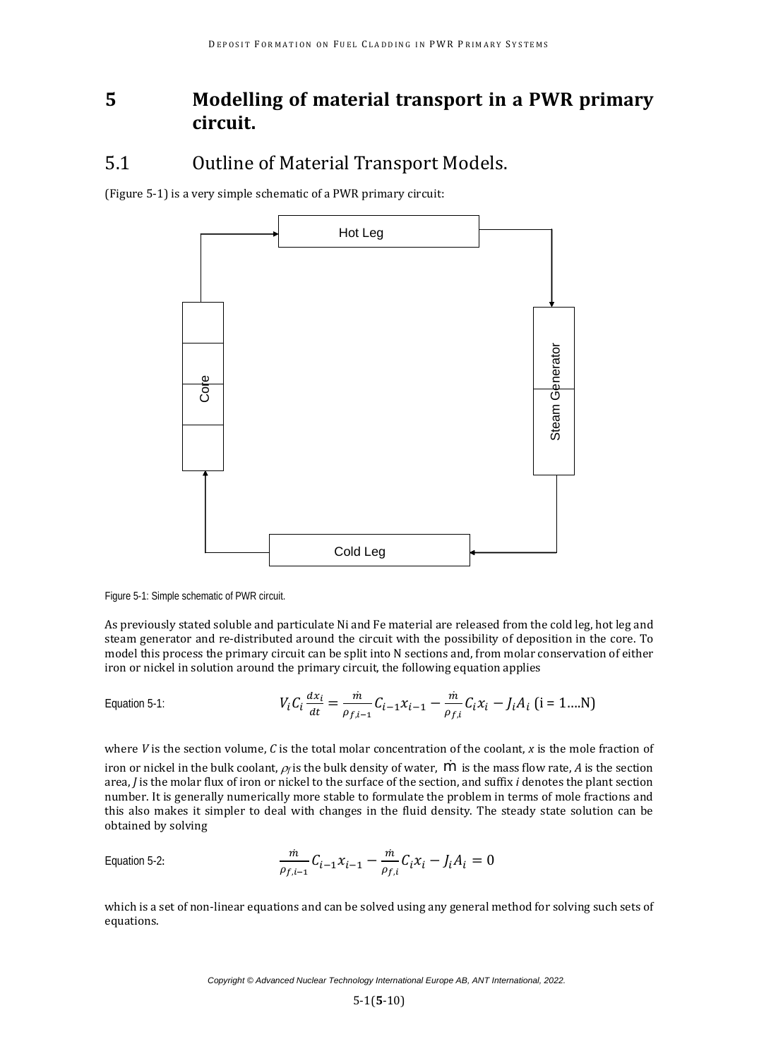## **5 Modelling of material transport in a PWR primary circuit.**

#### 5.1 Outline of Material Transport Models.

(Figure 5-1) is a very simple schematic of a PWR primary circuit:



Figure 5-1: Simple schematic of PWR circuit.

As previously stated soluble and particulate Ni and Fe material are released from the cold leg, hot leg and steam generator and re-distributed around the circuit with the possibility of deposition in the core. To model this process the primary circuit can be split into N sections and, from molar conservation of either iron or nickel in solution around the primary circuit, the following equation applies

Equation 5-1: 
$$
V_i C_i \frac{dx_i}{dt} = \frac{\dot{m}}{\rho_{f,i-1}} C_{i-1} x_{i-1} - \frac{\dot{m}}{\rho_{f,i}} C_i x_i - J_i A_i \text{ (i = 1....N)}
$$

where *V* is the section volume, *C* is the total molar concentration of the coolant, *x* is the mole fraction of iron or nickel in the bulk coolant,  $\rho_f$  is the bulk density of water,  $\dot{m}$  is the mass flow rate, A is the section area, *J* is the molar flux of iron or nickel to the surface of the section, and suffix *i* denotes the plant section number. It is generally numerically more stable to formulate the problem in terms of mole fractions and this also makes it simpler to deal with changes in the fluid density. The steady state solution can be obtained by solving

Equation 5-2: 
$$
\frac{\dot{m}}{\rho_{f,i-1}} C_{i-1} x_{i-1} - \frac{\dot{m}}{\rho_{f,i}} C_i x_i - J_i A_i = 0
$$

which is a set of non-linear equations and can be solved using any general method for solving such sets of equations.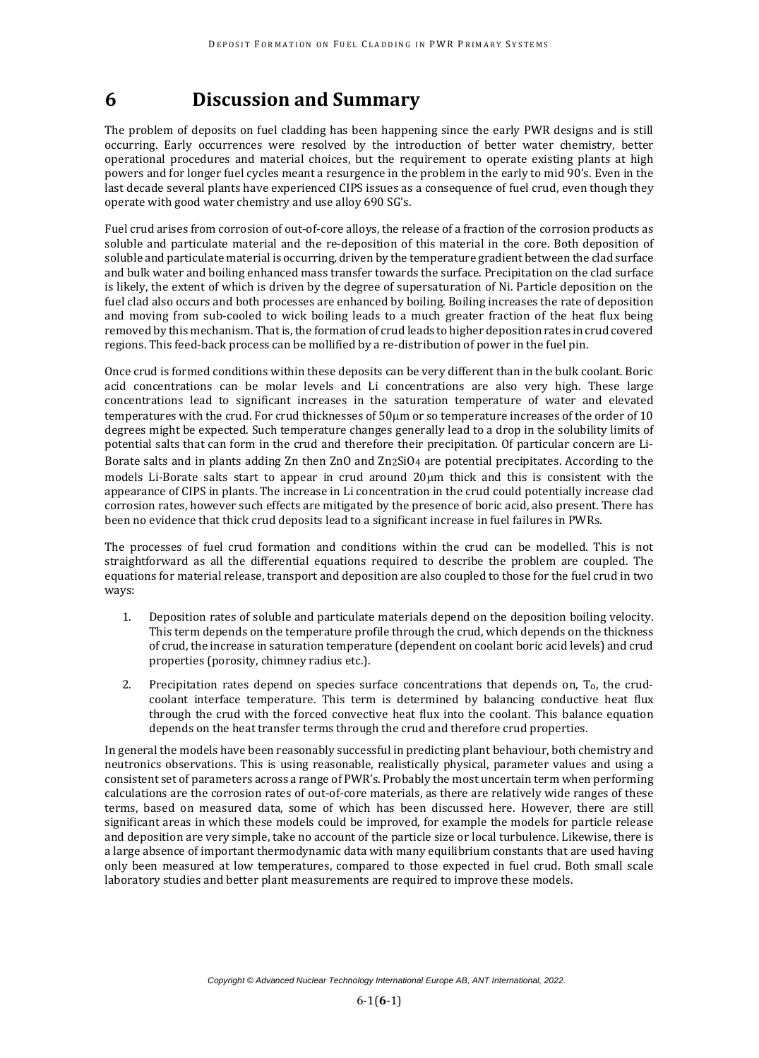# **6 Discussion and Summary**

The problem of deposits on fuel cladding has been happening since the early PWR designs and is still occurring. Early occurrences were resolved by the introduction of better water chemistry, better operational procedures and material choices, but the requirement to operate existing plants at high powers and for longer fuel cycles meant a resurgence in the problem in the early to mid 90's. Even in the last decade several plants have experienced CIPS issues as a consequence of fuel crud, even though they operate with good water chemistry and use alloy 690 SG's.

Fuel crud arises from corrosion of out-of-core alloys, the release of a fraction of the corrosion products as soluble and particulate material and the re-deposition of this material in the core. Both deposition of soluble and particulate material is occurring, driven by the temperature gradient between the clad surface and bulk water and boiling enhanced mass transfer towards the surface. Precipitation on the clad surface is likely, the extent of which is driven by the degree of supersaturation of Ni. Particle deposition on the fuel clad also occurs and both processes are enhanced by boiling. Boiling increases the rate of deposition and moving from sub-cooled to wick boiling leads to a much greater fraction of the heat flux being removed by this mechanism. That is, the formation of crud leads to higher deposition rates in crud covered regions. This feed-back process can be mollified by a re-distribution of power in the fuel pin.

Once crud is formed conditions within these deposits can be very different than in the bulk coolant. Boric acid concentrations can be molar levels and Li concentrations are also very high. These large concentrations lead to significant increases in the saturation temperature of water and elevated temperatures with the crud. For crud thicknesses of 50µm or so temperature increases of the order of 10 degrees might be expected. Such temperature changes generally lead to a drop in the solubility limits of potential salts that can form in the crud and therefore their precipitation. Of particular concern are Li-Borate salts and in plants adding Zn then ZnO and Zn2SiO4 are potential precipitates. According to the models Li-Borate salts start to appear in crud around 20µm thick and this is consistent with the appearance of CIPS in plants. The increase in Li concentration in the crud could potentially increase clad corrosion rates, however such effects are mitigated by the presence of boric acid, also present. There has been no evidence that thick crud deposits lead to a significant increase in fuel failures in PWRs.

The processes of fuel crud formation and conditions within the crud can be modelled. This is not straightforward as all the differential equations required to describe the problem are coupled. The equations for material release, transport and deposition are also coupled to those for the fuel crud in two ways:

- 1. Deposition rates of soluble and particulate materials depend on the deposition boiling velocity. This term depends on the temperature profile through the crud, which depends on the thickness of crud, the increase in saturation temperature (dependent on coolant boric acid levels) and crud properties (porosity, chimney radius etc.).
- 2. Precipitation rates depend on species surface concentrations that depends on, To, the crudcoolant interface temperature. This term is determined by balancing conductive heat flux through the crud with the forced convective heat flux into the coolant. This balance equation depends on the heat transfer terms through the crud and therefore crud properties.

In general the models have been reasonably successful in predicting plant behaviour, both chemistry and neutronics observations. This is using reasonable, realistically physical, parameter values and using a consistent set of parameters across a range of PWR's. Probably the most uncertain term when performing calculations are the corrosion rates of out-of-core materials, as there are relatively wide ranges of these terms, based on measured data, some of which has been discussed here. However, there are still significant areas in which these models could be improved, for example the models for particle release and deposition are very simple, take no account of the particle size or local turbulence. Likewise, there is a large absence of important thermodynamic data with many equilibrium constants that are used having only been measured at low temperatures, compared to those expected in fuel crud. Both small scale laboratory studies and better plant measurements are required to improve these models.